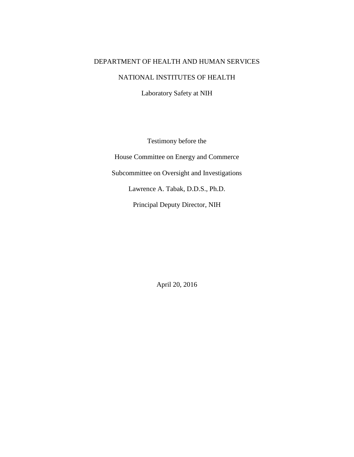## DEPARTMENT OF HEALTH AND HUMAN SERVICES

## NATIONAL INSTITUTES OF HEALTH

Laboratory Safety at NIH

Testimony before the House Committee on Energy and Commerce Subcommittee on Oversight and Investigations Lawrence A. Tabak, D.D.S., Ph.D. Principal Deputy Director, NIH

April 20, 2016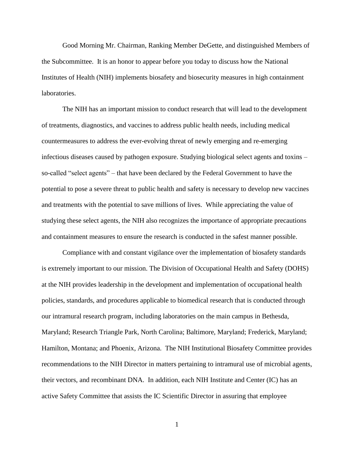Good Morning Mr. Chairman, Ranking Member DeGette, and distinguished Members of the Subcommittee. It is an honor to appear before you today to discuss how the National Institutes of Health (NIH) implements biosafety and biosecurity measures in high containment laboratories.

The NIH has an important mission to conduct research that will lead to the development of treatments, diagnostics, and vaccines to address public health needs, including medical countermeasures to address the ever-evolving threat of newly emerging and re-emerging infectious diseases caused by pathogen exposure. Studying biological select agents and toxins – so-called "select agents" – that have been declared by the Federal Government to have the potential to pose a severe threat to public health and safety is necessary to develop new vaccines and treatments with the potential to save millions of lives. While appreciating the value of studying these select agents, the NIH also recognizes the importance of appropriate precautions and containment measures to ensure the research is conducted in the safest manner possible.

Compliance with and constant vigilance over the implementation of biosafety standards is extremely important to our mission. The Division of Occupational Health and Safety (DOHS) at the NIH provides leadership in the development and implementation of occupational health policies, standards, and procedures applicable to biomedical research that is conducted through our intramural research program, including laboratories on the main campus in Bethesda, Maryland; Research Triangle Park, North Carolina; Baltimore, Maryland; Frederick, Maryland; Hamilton, Montana; and Phoenix, Arizona. The NIH Institutional Biosafety Committee provides recommendations to the NIH Director in matters pertaining to intramural use of microbial agents, their vectors, and recombinant DNA. In addition, each NIH Institute and Center (IC) has an active Safety Committee that assists the IC Scientific Director in assuring that employee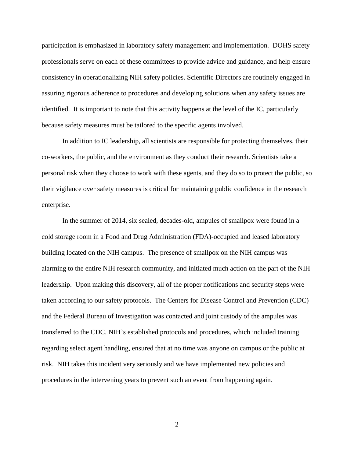participation is emphasized in laboratory safety management and implementation. DOHS safety professionals serve on each of these committees to provide advice and guidance, and help ensure consistency in operationalizing NIH safety policies. Scientific Directors are routinely engaged in assuring rigorous adherence to procedures and developing solutions when any safety issues are identified. It is important to note that this activity happens at the level of the IC, particularly because safety measures must be tailored to the specific agents involved.

In addition to IC leadership, all scientists are responsible for protecting themselves, their co-workers, the public, and the environment as they conduct their research. Scientists take a personal risk when they choose to work with these agents, and they do so to protect the public, so their vigilance over safety measures is critical for maintaining public confidence in the research enterprise.

In the summer of 2014, six sealed, decades-old, ampules of smallpox were found in a cold storage room in a Food and Drug Administration (FDA)-occupied and leased laboratory building located on the NIH campus. The presence of smallpox on the NIH campus was alarming to the entire NIH research community, and initiated much action on the part of the NIH leadership. Upon making this discovery, all of the proper notifications and security steps were taken according to our safety protocols. The Centers for Disease Control and Prevention (CDC) and the Federal Bureau of Investigation was contacted and joint custody of the ampules was transferred to the CDC. NIH's established protocols and procedures, which included training regarding select agent handling, ensured that at no time was anyone on campus or the public at risk. NIH takes this incident very seriously and we have implemented new policies and procedures in the intervening years to prevent such an event from happening again.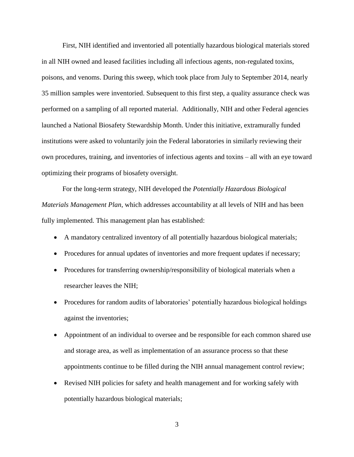First, NIH identified and inventoried all potentially hazardous biological materials stored in all NIH owned and leased facilities including all infectious agents, non-regulated toxins, poisons, and venoms. During this sweep, which took place from July to September 2014, nearly 35 million samples were inventoried. Subsequent to this first step, a quality assurance check was performed on a sampling of all reported material. Additionally, NIH and other Federal agencies launched a National Biosafety Stewardship Month. Under this initiative, extramurally funded institutions were asked to voluntarily join the Federal laboratories in similarly reviewing their own procedures, training, and inventories of infectious agents and toxins – all with an eye toward optimizing their programs of biosafety oversight.

For the long-term strategy, NIH developed the *Potentially Hazardous Biological Materials Management Plan*, which addresses accountability at all levels of NIH and has been fully implemented. This management plan has established:

- A mandatory centralized inventory of all potentially hazardous biological materials;
- Procedures for annual updates of inventories and more frequent updates if necessary;
- Procedures for transferring ownership/responsibility of biological materials when a researcher leaves the NIH;
- Procedures for random audits of laboratories' potentially hazardous biological holdings against the inventories;
- Appointment of an individual to oversee and be responsible for each common shared use and storage area, as well as implementation of an assurance process so that these appointments continue to be filled during the NIH annual management control review;
- Revised NIH policies for safety and health management and for working safely with potentially hazardous biological materials;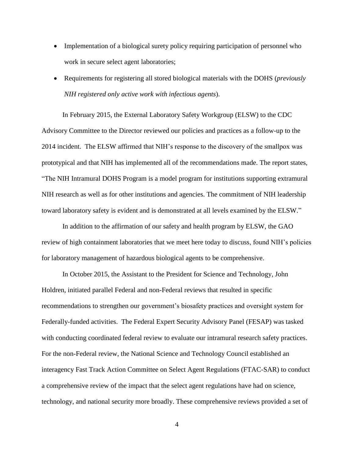- Implementation of a biological surety policy requiring participation of personnel who work in secure select agent laboratories;
- Requirements for registering all stored biological materials with the DOHS (*previously NIH registered only active work with infectious agents*).

In February 2015, the External Laboratory Safety Workgroup (ELSW) to the CDC Advisory Committee to the Director reviewed our policies and practices as a follow-up to the 2014 incident. The ELSW affirmed that NIH's response to the discovery of the smallpox was prototypical and that NIH has implemented all of the recommendations made. The report states, "The NIH Intramural DOHS Program is a model program for institutions supporting extramural NIH research as well as for other institutions and agencies. The commitment of NIH leadership toward laboratory safety is evident and is demonstrated at all levels examined by the ELSW."

In addition to the affirmation of our safety and health program by ELSW, the GAO review of high containment laboratories that we meet here today to discuss, found NIH's policies for laboratory management of hazardous biological agents to be comprehensive.

In October 2015, the Assistant to the President for Science and Technology, John Holdren, initiated parallel Federal and non-Federal reviews that resulted in specific recommendations to strengthen our government's biosafety practices and oversight system for Federally-funded activities. The Federal Expert Security Advisory Panel (FESAP) was tasked with conducting coordinated federal review to evaluate our intramural research safety practices. For the non-Federal review, the National Science and Technology Council established an interagency Fast Track Action Committee on Select Agent Regulations (FTAC-SAR) to conduct a comprehensive review of the impact that the select agent regulations have had on science, technology, and national security more broadly. These comprehensive reviews provided a set of